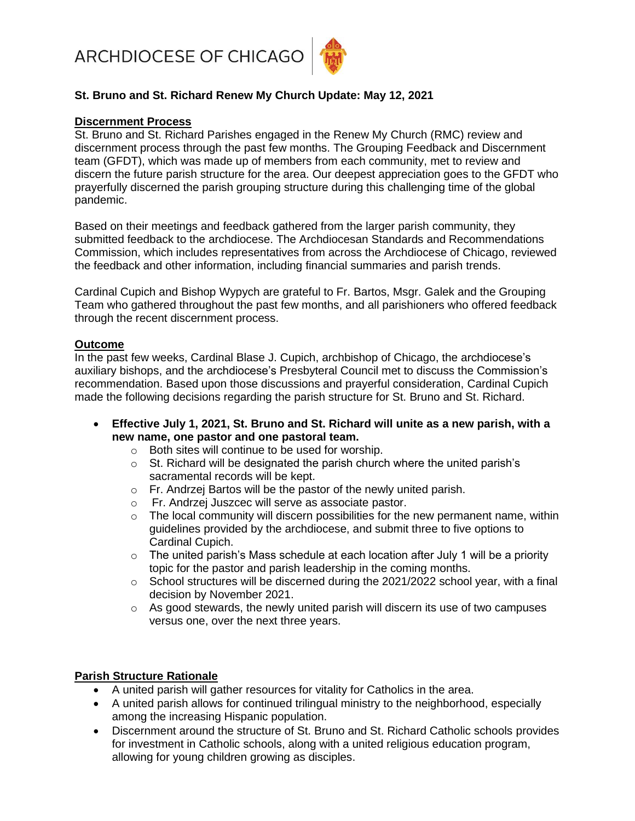ARCHDIOCESE OF CHICAGO



# **St. Bruno and St. Richard Renew My Church Update: May 12, 2021**

### **Discernment Process**

St. Bruno and St. Richard Parishes engaged in the Renew My Church (RMC) review and discernment process through the past few months. The Grouping Feedback and Discernment team (GFDT), which was made up of members from each community, met to review and discern the future parish structure for the area. Our deepest appreciation goes to the GFDT who prayerfully discerned the parish grouping structure during this challenging time of the global pandemic.

Based on their meetings and feedback gathered from the larger parish community, they submitted feedback to the archdiocese. The Archdiocesan Standards and Recommendations Commission, which includes representatives from across the Archdiocese of Chicago, reviewed the feedback and other information, including financial summaries and parish trends.

Cardinal Cupich and Bishop Wypych are grateful to Fr. Bartos, Msgr. Galek and the Grouping Team who gathered throughout the past few months, and all parishioners who offered feedback through the recent discernment process.

## **Outcome**

In the past few weeks, Cardinal Blase J. Cupich, archbishop of Chicago, the archdiocese's auxiliary bishops, and the archdiocese's Presbyteral Council met to discuss the Commission's recommendation. Based upon those discussions and prayerful consideration, Cardinal Cupich made the following decisions regarding the parish structure for St. Bruno and St. Richard.

- **Effective July 1, 2021, St. Bruno and St. Richard will unite as a new parish, with a new name, one pastor and one pastoral team.** 
	- o Both sites will continue to be used for worship.
	- $\circ$  St. Richard will be designated the parish church where the united parish's sacramental records will be kept.
	- o Fr. Andrzej Bartos will be the pastor of the newly united parish.
	- o Fr. Andrzej Juszcec will serve as associate pastor.
	- o The local community will discern possibilities for the new permanent name, within guidelines provided by the archdiocese, and submit three to five options to Cardinal Cupich.
	- $\circ$  The united parish's Mass schedule at each location after July 1 will be a priority topic for the pastor and parish leadership in the coming months.
	- o School structures will be discerned during the 2021/2022 school year, with a final decision by November 2021.
	- $\circ$  As good stewards, the newly united parish will discern its use of two campuses versus one, over the next three years.

### **Parish Structure Rationale**

- A united parish will gather resources for vitality for Catholics in the area.
- A united parish allows for continued trilingual ministry to the neighborhood, especially among the increasing Hispanic population.
- Discernment around the structure of St. Bruno and St. Richard Catholic schools provides for investment in Catholic schools, along with a united religious education program, allowing for young children growing as disciples.